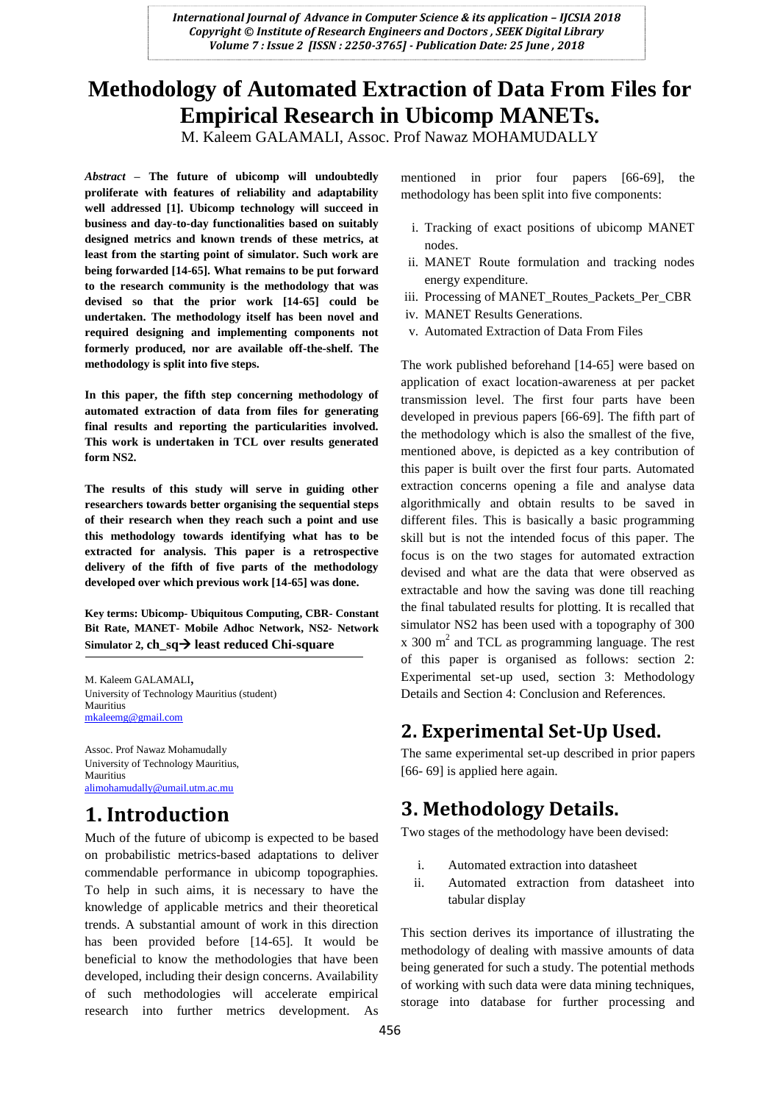# **Methodology of Automated Extraction of Data From Files for Empirical Research in Ubicomp MANETs.**

M. Kaleem GALAMALI, Assoc. Prof Nawaz MOHAMUDALLY

*Abstract* **– The future of ubicomp will undoubtedly proliferate with features of reliability and adaptability well addressed [1]. Ubicomp technology will succeed in business and day-to-day functionalities based on suitably designed metrics and known trends of these metrics, at least from the starting point of simulator. Such work are being forwarded [14-65]. What remains to be put forward to the research community is the methodology that was devised so that the prior work [14-65] could be undertaken. The methodology itself has been novel and required designing and implementing components not formerly produced, nor are available off-the-shelf. The methodology is split into five steps.**

**In this paper, the fifth step concerning methodology of automated extraction of data from files for generating final results and reporting the particularities involved. This work is undertaken in TCL over results generated form NS2.**

**The results of this study will serve in guiding other researchers towards better organising the sequential steps of their research when they reach such a point and use this methodology towards identifying what has to be extracted for analysis. This paper is a retrospective delivery of the fifth of five parts of the methodology developed over which previous work [14-65] was done.**

**Key terms: Ubicomp- Ubiquitous Computing, CBR- Constant Bit Rate, MANET- Mobile Adhoc Network, NS2- Network**  Simulator 2, ch  $sa \rightarrow$  least reduced Chi-square

M. Kaleem GALAMALI, University of Technology Mauritius (student) **Mauritius** [mkaleemg@gmail.com](mailto:mkaleemg@gmail.com)

Assoc. Prof Nawaz Mohamudally University of Technology Mauritius, Mauritius [alimohamudally@umail.utm.ac.mu](mailto:alimohamudally@umail.utm.ac.mu)

# **1. Introduction**

Much of the future of ubicomp is expected to be based on probabilistic metrics-based adaptations to deliver commendable performance in ubicomp topographies. To help in such aims, it is necessary to have the knowledge of applicable metrics and their theoretical trends. A substantial amount of work in this direction has been provided before [14-65]. It would be beneficial to know the methodologies that have been developed, including their design concerns. Availability of such methodologies will accelerate empirical research into further metrics development. As mentioned in prior four papers [66-69], the methodology has been split into five components:

- i. Tracking of exact positions of ubicomp MANET nodes.
- ii. MANET Route formulation and tracking nodes energy expenditure.
- iii. Processing of MANET\_Routes\_Packets\_Per\_CBR
- iv. MANET Results Generations.
- v. Automated Extraction of Data From Files

The work published beforehand [14-65] were based on application of exact location-awareness at per packet transmission level. The first four parts have been developed in previous papers [66-69]. The fifth part of the methodology which is also the smallest of the five, mentioned above, is depicted as a key contribution of this paper is built over the first four parts. Automated extraction concerns opening a file and analyse data algorithmically and obtain results to be saved in different files. This is basically a basic programming skill but is not the intended focus of this paper. The focus is on the two stages for automated extraction devised and what are the data that were observed as extractable and how the saving was done till reaching the final tabulated results for plotting. It is recalled that simulator NS2 has been used with a topography of 300  $x$  300 m<sup>2</sup> and TCL as programming language. The rest of this paper is organised as follows: section 2: Experimental set-up used, section 3: Methodology Details and Section 4: Conclusion and References.

### **2. Experimental Set-Up Used.**

The same experimental set-up described in prior papers [66- 69] is applied here again.

## **3. Methodology Details.**

Two stages of the methodology have been devised:

- i. Automated extraction into datasheet
- ii. Automated extraction from datasheet into tabular display

This section derives its importance of illustrating the methodology of dealing with massive amounts of data being generated for such a study. The potential methods of working with such data were data mining techniques, storage into database for further processing and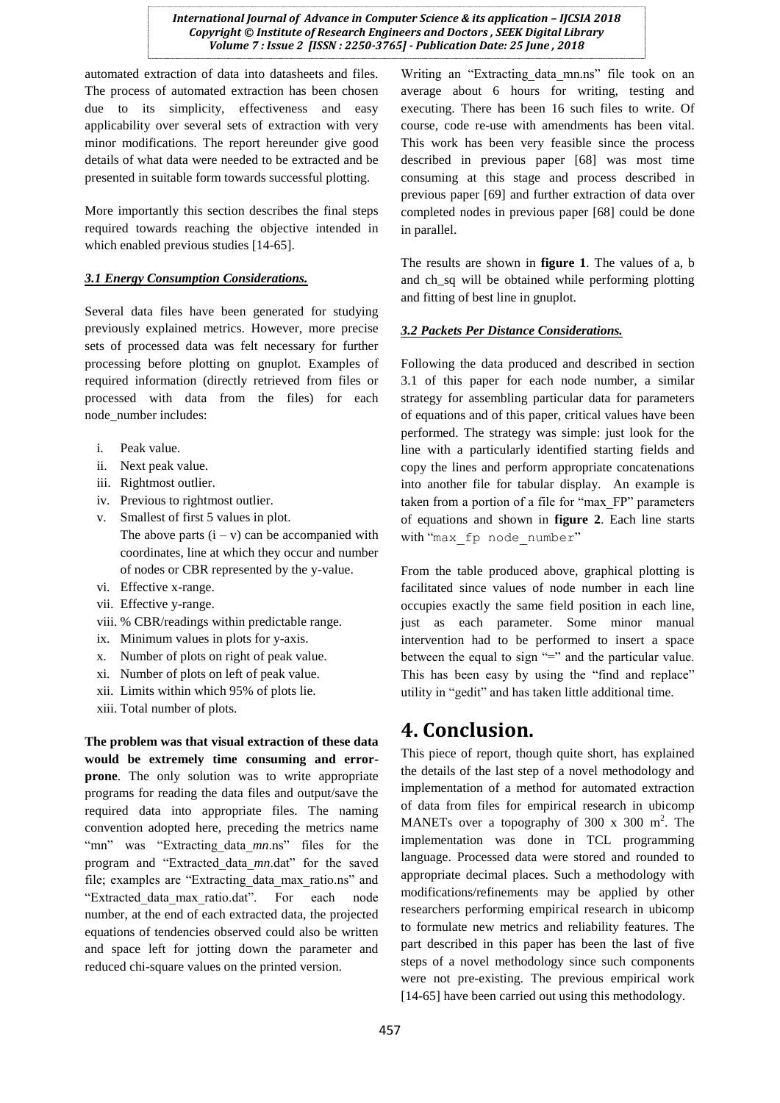automated extraction of data into datasheets and files. The process of automated extraction has been chosen due to its simplicity, effectiveness and easy applicability over several sets of extraction with very minor modifications. The report hereunder give good details of what data were needed to be extracted and be presented in suitable form towards successful plotting.

More importantly this section describes the final steps required towards reaching the objective intended in which enabled previous studies [14-65].

#### *3.1 Energy Consumption Considerations.*

Several data files have been generated for studying previously explained metrics. However, more precise sets of processed data was felt necessary for further processing before plotting on gnuplot. Examples of required information (directly retrieved from files or processed with data from the files) for each node\_number includes:

- i. Peak value.
- ii. Next peak value.
- iii. Rightmost outlier.
- iv. Previous to rightmost outlier.
- v. Smallest of first 5 values in plot. The above parts  $(i - v)$  can be accompanied with coordinates, line at which they occur and number of nodes or CBR represented by the y-value.
- vi. Effective x-range.
- vii. Effective y-range.
- viii. % CBR/readings within predictable range.
- ix. Minimum values in plots for y-axis.
- x. Number of plots on right of peak value.
- xi. Number of plots on left of peak value.
- xii. Limits within which 95% of plots lie.
- xiii. Total number of plots.

**The problem was that visual extraction of these data would be extremely time consuming and errorprone**. The only solution was to write appropriate programs for reading the data files and output/save the required data into appropriate files. The naming convention adopted here, preceding the metrics name "mn" was "Extracting\_data\_*mn*.ns" files for the program and "Extracted\_data\_*mn*.dat" for the saved file; examples are "Extracting\_data\_max\_ratio.ns" and "Extracted\_data\_max\_ratio.dat". For each node number, at the end of each extracted data, the projected equations of tendencies observed could also be written and space left for jotting down the parameter and reduced chi-square values on the printed version.

Writing an "Extracting data mn.ns" file took on an average about 6 hours for writing, testing and executing. There has been 16 such files to write. Of course, code re-use with amendments has been vital. This work has been very feasible since the process described in previous paper [68] was most time consuming at this stage and process described in previous paper [69] and further extraction of data over completed nodes in previous paper [68] could be done in parallel.

The results are shown in **figure 1**. The values of a, b and ch\_sq will be obtained while performing plotting and fitting of best line in gnuplot.

#### *3.2 Packets Per Distance Considerations.*

Following the data produced and described in section 3.1 of this paper for each node number, a similar strategy for assembling particular data for parameters of equations and of this paper, critical values have been performed. The strategy was simple: just look for the line with a particularly identified starting fields and copy the lines and perform appropriate concatenations into another file for tabular display. An example is taken from a portion of a file for "max\_FP" parameters of equations and shown in **figure 2**. Each line starts with "max fp node number"

From the table produced above, graphical plotting is facilitated since values of node number in each line occupies exactly the same field position in each line, just as each parameter. Some minor manual intervention had to be performed to insert a space between the equal to sign  $=$ " and the particular value. This has been easy by using the "find and replace" utility in "gedit" and has taken little additional time.

## **4. Conclusion.**

This piece of report, though quite short, has explained the details of the last step of a novel methodology and implementation of a method for automated extraction of data from files for empirical research in ubicomp MANETs over a topography of 300  $x$  300 m<sup>2</sup>. The implementation was done in TCL programming language. Processed data were stored and rounded to appropriate decimal places. Such a methodology with modifications/refinements may be applied by other researchers performing empirical research in ubicomp to formulate new metrics and reliability features. The part described in this paper has been the last of five steps of a novel methodology since such components were not pre-existing. The previous empirical work [14-65] have been carried out using this methodology.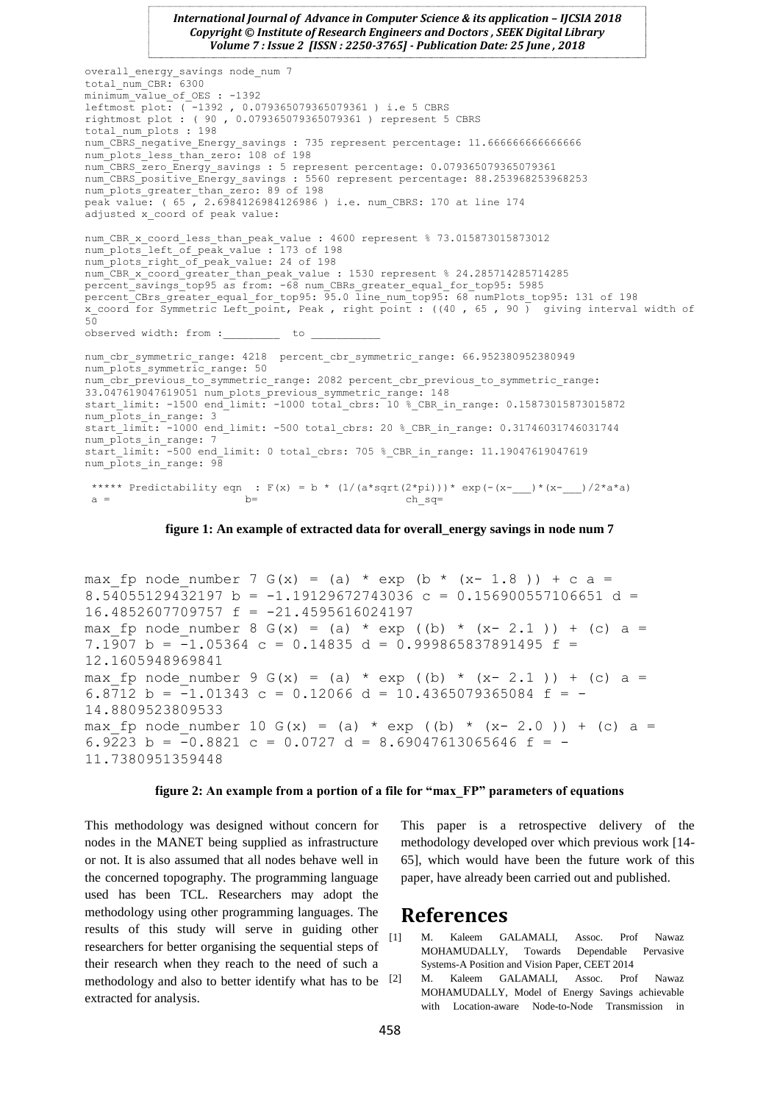```
overall energy savings node num 7
total_num_CBR: 6300
minimum value of OES : -1392
leftmost plot: (-1392, 0.079365079365079361) i.e 5 CBRSrightmost plot : ( 90 , 0.079365079365079361 ) represent 5 CBRS
total_num_plots : 198 
num_CBRS_negative_Energy_savings : 735 represent percentage: 11.666666666666666 
num plots less than zero: 108 of 198
num_CBRS_zero_Energy_savings : 5 represent percentage: 0.079365079365079361 
num CBRS_positive_Energy_savings : 5560 represent percentage: 88.253968253968253
num_plots_greater_than_zero: 89 of 198
peak value: ( 65 , 2.6984126984126986 ) i.e. num_CBRS: 170 at line 174
adjusted x coord of peak value:
num CBR x coord less than peak value : 4600 represent % 73.015873015873012
num_plots_left_of_peak_value : 173 of 198
num_plots_right_of_peak_value: 24 of 198
num_CBR_x_coord_greater_than_peak_value : 1530 represent % 24.285714285714285
percent savings top95 as from: -68 num CBRs greater equal for top95: 5985
percent CBrs greater equal for top95: \overline{95.0} line num top95: 68 numPlots top95: 131 of 198
x coord for Symmetric Left point, Peak , right point : ((40 , 65 , 90 ) giving interval width of
50observed width: from : to
num cbr symmetric range: 4218 percent cbr symmetric range: 66.952380952380949
num_plots_symmetric_range: 50 
num cbr_previous_to_symmetric_range: 2082 percent_cbr_previous_to_symmetric_range:
33.047619047619051 num plots previous symmetric range: 148
start limit: -1500 end limit: -1000 total cbrs: 10 % CBR in range: 0.15873015873015872
num plots in range: 3
start_limit: -1000 end_limit: -500 total_cbrs: 20 %_CBR_in_range: 0.31746031746031744 
num plots in range: 7
start_limit: -500 end_limit: 0 total_cbrs: 705 % CBR_in_range: 11.19047619047619
num plots in range: 98***** Predictability eqn : F(x) = b * (1/(a*sqrt(2*pi)))* exp(-(x-__)*(x-__)/2*a*a)
 a = ch_sq=
```
**figure 1: An example of extracted data for overall\_energy savings in node num 7**

```
max fp node number 7 G(x) = (a) * exp (b * (x- 1.8 )) + c a =
8.54055129432197 b = -1.19129672743036 c = 0.156900557106651 d =
16.4852607709757 f = -21.4595616024197
max fp node number 8 G(x) = (a) * exp ((b) * (x- 2.1 )) + (c) a =
7.1907 b = -1.05364 c = 0.14835 d = 0.999865837891495 f =
12.1605948969841
max fp node number 9 G(x) = (a) * exp ((b) * (x- 2.1 )) + (c) a =
6.8712 b = -1.01343 c = 0.12066 d = 10.4365079365084 f = -
14.8809523809533
max fp node number 10 G(x) = (a) * exp ((b) * (x- 2.0 )) + (c) a =
6.9223 b = -0.8821 c = 0.0727 d = 8.69047613065646 f = -11.7380951359448
```
#### **figure 2: An example from a portion of a file for "max\_FP" parameters of equations**

This methodology was designed without concern for nodes in the MANET being supplied as infrastructure or not. It is also assumed that all nodes behave well in the concerned topography. The programming language used has been TCL. Researchers may adopt the methodology using other programming languages. The results of this study will serve in guiding other researchers for better organising the sequential steps of their research when they reach to the need of such a methodology and also to better identify what has to be [2] extracted for analysis.

This paper is a retrospective delivery of the methodology developed over which previous work [14- 65], which would have been the future work of this paper, have already been carried out and published.

### **References**

- [1] M. Kaleem GALAMALI, Assoc. Prof Nawaz MOHAMUDALLY, Towards Dependable Pervasive Systems-A Position and Vision Paper, CEET 2014
- M. Kaleem GALAMALI, Assoc. Prof Nawaz MOHAMUDALLY, Model of Energy Savings achievable with Location-aware Node-to-Node Transmission in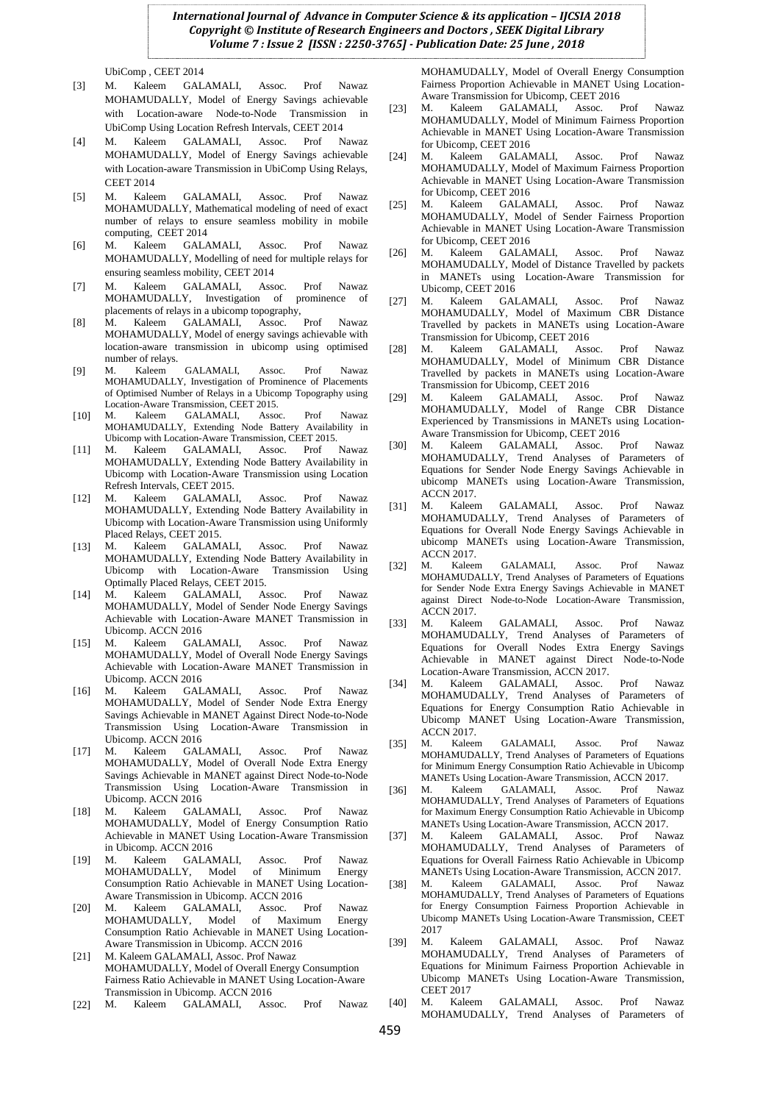UbiComp , CEET 2014

- [3] M. Kaleem GALAMALI, Assoc. Prof Nawaz MOHAMUDALLY, Model of Energy Savings achievable with Location-aware Node-to-Node Transmission in UbiComp Using Location Refresh Intervals, CEET 2014
- [4] M. Kaleem GALAMALI, Assoc. Prof Nawaz MOHAMUDALLY, Model of Energy Savings achievable with Location-aware Transmission in UbiComp Using Relays, CEET 2014
- [5] M. Kaleem GALAMALI, Assoc. Prof Nawaz MOHAMUDALLY, Mathematical modeling of need of exact number of relays to ensure seamless mobility in mobile computing, CEET 2014
- [6] M. Kaleem GALAMALI, Assoc. Prof Nawaz MOHAMUDALLY, Modelling of need for multiple relays for ensuring seamless mobility, CEET 2014
- [7] M. Kaleem GALAMALI, Assoc. Prof Nawaz MOHAMUDALLY, Investigation of prominence of placements of relays in a ubicomp topography,<br>M. Kaleem GALAMALI, Assoc. Prof
- [8] M. Kaleem GALAMALI, Assoc. Prof Nawaz MOHAMUDALLY, Model of energy savings achievable with location-aware transmission in ubicomp using optimised number of relays.
- [9] M. Kaleem GALAMALI, Assoc. Prof Nawaz MOHAMUDALLY, Investigation of Prominence of Placements of Optimised Number of Relays in a Ubicomp Topography using Location-Aware Transmission, CEET 2015.
- [10] M. Kaleem GALAMALI, Assoc. Prof Nawaz MOHAMUDALLY, Extending Node Battery Availability in Ubicomp with Location-Aware Transmission, CEET 2015.
- [11] M. Kaleem GALAMALI, Assoc. Prof Nawaz MOHAMUDALLY, Extending Node Battery Availability in Ubicomp with Location-Aware Transmission using Location Refresh Intervals, CEET 2015.
- [12] M. Kaleem GALAMALI, Assoc. Prof Nawaz MOHAMUDALLY, Extending Node Battery Availability in Ubicomp with Location-Aware Transmission using Uniformly Placed Relays, CEET 2015.
- [13] M. Kaleem GALAMALI, Assoc. Prof Nawaz MOHAMUDALLY, Extending Node Battery Availability in Ubicomp with Location-Aware Transmission Using Optimally Placed Relays, CEET 2015.
- [14] M. Kaleem GALAMALI, Assoc. Prof Nawaz MOHAMUDALLY, Model of Sender Node Energy Savings Achievable with Location-Aware MANET Transmission in Ubicomp. ACCN 2016
- [15] M. Kaleem GALAMALI, Assoc. Prof Nawaz MOHAMUDALLY, Model of Overall Node Energy Savings Achievable with Location-Aware MANET Transmission in Ubicomp. ACCN 2016
- [16] M. Kaleem GALAMALI, Assoc. Prof Nawaz MOHAMUDALLY, Model of Sender Node Extra Energy Savings Achievable in MANET Against Direct Node-to-Node Transmission Using Location-Aware Transmission in Ubicomp. ACCN 2016
- [17] M. Kaleem GALAMALI, Assoc. Prof Nawaz MOHAMUDALLY, Model of Overall Node Extra Energy Savings Achievable in MANET against Direct Node-to-Node Transmission Using Location-Aware Transmission in Ubicomp. ACCN 2016
- [18] M. Kaleem GALAMALI, Assoc. Prof Nawaz MOHAMUDALLY, Model of Energy Consumption Ratio Achievable in MANET Using Location-Aware Transmission in Ubicomp. ACCN 2016
- [19] M. Kaleem GALAMALI, Assoc. Prof Nawaz MOHAMUDALLY, Model of Minimum Energy Consumption Ratio Achievable in MANET Using Location-Aware Transmission in Ubicomp. ACCN 2016
- [20] M. Kaleem GALAMALI, Assoc. Prof Nawaz MOHAMUDALLY, Model of Maximum Energy Consumption Ratio Achievable in MANET Using Location-Aware Transmission in Ubicomp. ACCN 2016
- [21] M. Kaleem GALAMALI, Assoc. Prof Nawaz MOHAMUDALLY, Model of Overall Energy Consumption Fairness Ratio Achievable in MANET Using Location-Aware Transmission in Ubicomp. ACCN 2016
- [22] M. Kaleem GALAMALI, Assoc. Prof Nawaz

MOHAMUDALLY, Model of Overall Energy Consumption Fairness Proportion Achievable in MANET Using Location-Aware Transmission for Ubicomp, CEET 2016

- [23] M. Kaleem GALAMALI, Assoc. Prof Nawaz MOHAMUDALLY, Model of Minimum Fairness Proportion Achievable in MANET Using Location-Aware Transmission for Ubicomp, CEET 2016
- [24] M. Kaleem GALAMALI, Assoc. Prof Nawaz MOHAMUDALLY, Model of Maximum Fairness Proportion Achievable in MANET Using Location-Aware Transmission for Ubicomp, CEET 2016
- [25] M. Kaleem GALAMALI, Assoc. Prof Nawaz MOHAMUDALLY, Model of Sender Fairness Proportion Achievable in MANET Using Location-Aware Transmission for Ubicomp, CEET 2016
- [26] M. Kaleem GALAMALI, Assoc. Prof Nawaz MOHAMUDALLY, Model of Distance Travelled by packets in MANETs using Location-Aware Transmission for Ubicomp, CEET 2016
- [27] M. Kaleem GALAMALI, Assoc. Prof Nawaz MOHAMUDALLY, Model of Maximum CBR Distance Travelled by packets in MANETs using Location-Aware Transmission for Ubicomp, CEET 2016
- [28] M. Kaleem GALAMALI, Assoc. Prof Nawaz MOHAMUDALLY, Model of Minimum CBR Distance Travelled by packets in MANETs using Location-Aware Transmission for Ubicomp, CEET 2016
- [29] M. Kaleem GALAMALI, Assoc. Prof Nawaz MOHAMUDALLY, Model of Range CBR Distance Experienced by Transmissions in MANETs using Location-Aware Transmission for Ubicomp, CEET 2016<br>M. Kaleem GALAMALI, Assoc. Prof
- [30] M. Kaleem GALAMALI, Assoc. Prof Nawaz MOHAMUDALLY, Trend Analyses of Parameters of Equations for Sender Node Energy Savings Achievable in ubicomp MANETs using Location-Aware Transmission, ACCN 2017.
- [31] M. Kaleem GALAMALI, Assoc. Prof Nawaz MOHAMUDALLY, Trend Analyses of Parameters of Equations for Overall Node Energy Savings Achievable in ubicomp MANETs using Location-Aware Transmission, ACCN 2017.<br>M. Kaleem
- [32] M. Kaleem GALAMALI, Assoc. Prof Nawaz MOHAMUDALLY, Trend Analyses of Parameters of Equations for Sender Node Extra Energy Savings Achievable in MANET against Direct Node-to-Node Location-Aware Transmission, ACCN 2017.
- [33] M. Kaleem GALAMALI, Assoc. Prof Nawaz MOHAMUDALLY, Trend Analyses of Parameters of Equations for Overall Nodes Extra Energy Savings Achievable in MANET against Direct Node-to-Node Location-Aware Transmission, ACCN 2017.
- [34] M. Kaleem GALAMALI, Assoc. Prof Nawaz MOHAMUDALLY, Trend Analyses of Parameters of Equations for Energy Consumption Ratio Achievable in Ubicomp MANET Using Location-Aware Transmission, ACCN 2017.
- [35] M. Kaleem GALAMALI, Assoc. Prof Nawaz MOHAMUDALLY, Trend Analyses of Parameters of Equations for Minimum Energy Consumption Ratio Achievable in Ubicomp MANETs Using Location-Aware Transmission, ACCN 2017.
- [36] M. Kaleem GALAMALI, Assoc. Prof Nawaz MOHAMUDALLY, Trend Analyses of Parameters of Equations for Maximum Energy Consumption Ratio Achievable in Ubicomp MANETs Using Location-Aware Transmission, ACCN 2017.
- [37] M. Kaleem GALAMALI, Assoc. Prof Nawaz MOHAMUDALLY, Trend Analyses of Parameters of Equations for Overall Fairness Ratio Achievable in Ubicomp MANETs Using Location-Aware Transmission, ACCN 2017.
- [38] M. Kaleem GALAMALI, Assoc. Prof Nawaz MOHAMUDALLY, Trend Analyses of Parameters of Equations for Energy Consumption Fairness Proportion Achievable in Ubicomp MANETs Using Location-Aware Transmission, CEET 2017
- [39] M. Kaleem GALAMALI, Assoc. Prof Nawaz MOHAMUDALLY, Trend Analyses of Parameters of Equations for Minimum Fairness Proportion Achievable in Ubicomp MANETs Using Location-Aware Transmission, CEET 2017
- [40] M. Kaleem GALAMALI, Assoc. Prof Nawaz MOHAMUDALLY, Trend Analyses of Parameters of